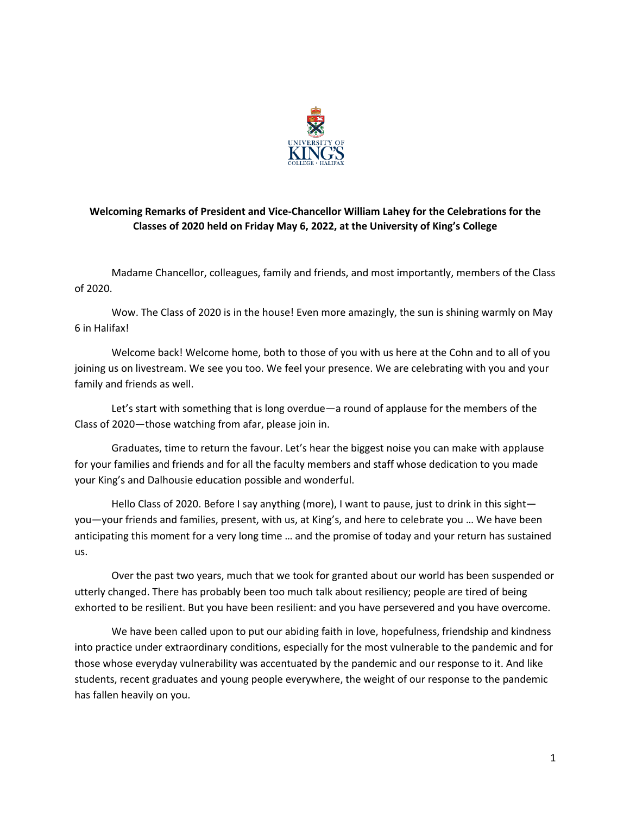

## **Welcoming Remarks of President and Vice-Chancellor William Lahey for the Celebrations for the Classes of 2020 held on Friday May 6, 2022, at the University of King's College**

Madame Chancellor, colleagues, family and friends, and most importantly, members of the Class of 2020.

Wow. The Class of 2020 is in the house! Even more amazingly, the sun is shining warmly on May 6 in Halifax!

Welcome back! Welcome home, both to those of you with us here at the Cohn and to all of you joining us on livestream. We see you too. We feel your presence. We are celebrating with you and your family and friends as well.

Let's start with something that is long overdue—a round of applause for the members of the Class of 2020—those watching from afar, please join in.

Graduates, time to return the favour. Let's hear the biggest noise you can make with applause for your families and friends and for all the faculty members and staff whose dedication to you made your King's and Dalhousie education possible and wonderful.

Hello Class of 2020. Before I say anything (more), I want to pause, just to drink in this sight you—your friends and families, present, with us, at King's, and here to celebrate you … We have been anticipating this moment for a very long time … and the promise of today and your return has sustained us.

Over the past two years, much that we took for granted about our world has been suspended or utterly changed. There has probably been too much talk about resiliency; people are tired of being exhorted to be resilient. But you have been resilient: and you have persevered and you have overcome.

We have been called upon to put our abiding faith in love, hopefulness, friendship and kindness into practice under extraordinary conditions, especially for the most vulnerable to the pandemic and for those whose everyday vulnerability was accentuated by the pandemic and our response to it. And like students, recent graduates and young people everywhere, the weight of our response to the pandemic has fallen heavily on you.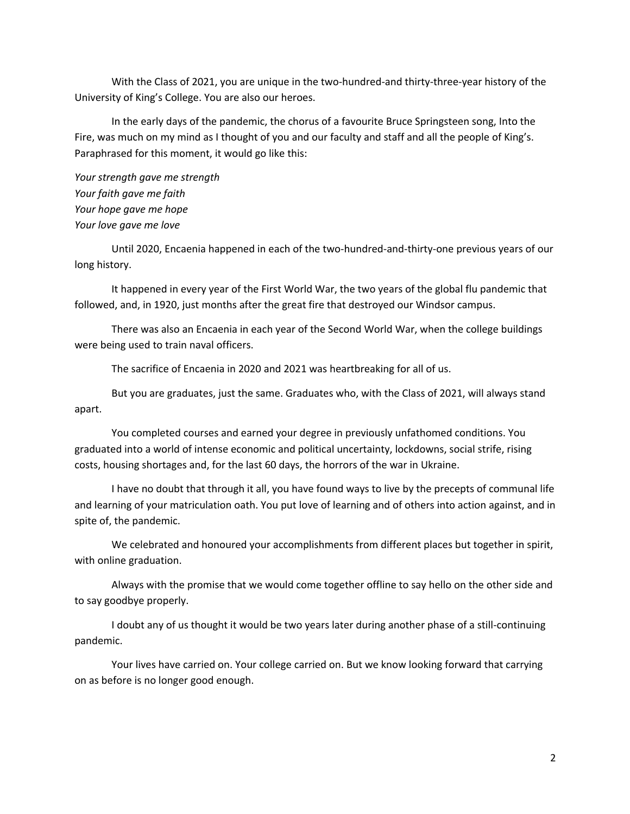With the Class of 2021, you are unique in the two-hundred-and thirty-three-year history of the University of King's College. You are also our heroes.

In the early days of the pandemic, the chorus of a favourite Bruce Springsteen song, Into the Fire, was much on my mind as I thought of you and our faculty and staff and all the people of King's. Paraphrased for this moment, it would go like this:

*Your strength gave me strength Your faith gave me faith Your hope gave me hope Your love gave me love*

Until 2020, Encaenia happened in each of the two-hundred-and-thirty-one previous years of our long history.

It happened in every year of the First World War, the two years of the global flu pandemic that followed, and, in 1920, just months after the great fire that destroyed our Windsor campus.

There was also an Encaenia in each year of the Second World War, when the college buildings were being used to train naval officers.

The sacrifice of Encaenia in 2020 and 2021 was heartbreaking for all of us.

But you are graduates, just the same. Graduates who, with the Class of 2021, will always stand apart.

You completed courses and earned your degree in previously unfathomed conditions. You graduated into a world of intense economic and political uncertainty, lockdowns, social strife, rising costs, housing shortages and, for the last 60 days, the horrors of the war in Ukraine.

I have no doubt that through it all, you have found ways to live by the precepts of communal life and learning of your matriculation oath. You put love of learning and of others into action against, and in spite of, the pandemic.

We celebrated and honoured your accomplishments from different places but together in spirit, with online graduation.

Always with the promise that we would come together offline to say hello on the other side and to say goodbye properly.

I doubt any of us thought it would be two years later during another phase of a still-continuing pandemic.

Your lives have carried on. Your college carried on. But we know looking forward that carrying on as before is no longer good enough.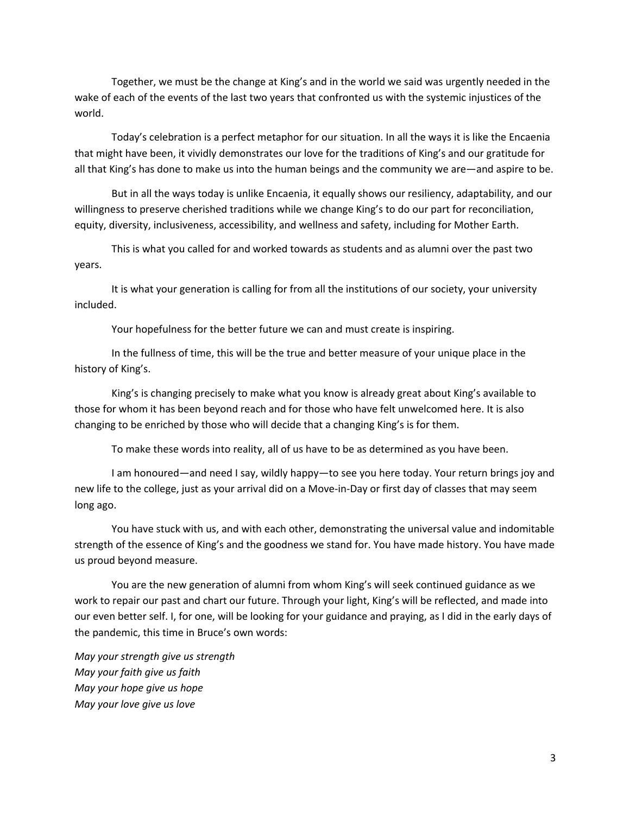Together, we must be the change at King's and in the world we said was urgently needed in the wake of each of the events of the last two years that confronted us with the systemic injustices of the world.

Today's celebration is a perfect metaphor for our situation. In all the ways it is like the Encaenia that might have been, it vividly demonstrates our love for the traditions of King's and our gratitude for all that King's has done to make us into the human beings and the community we are—and aspire to be.

But in all the ways today is unlike Encaenia, it equally shows our resiliency, adaptability, and our willingness to preserve cherished traditions while we change King's to do our part for reconciliation, equity, diversity, inclusiveness, accessibility, and wellness and safety, including for Mother Earth.

This is what you called for and worked towards as students and as alumni over the past two years.

It is what your generation is calling for from all the institutions of our society, your university included.

Your hopefulness for the better future we can and must create is inspiring.

In the fullness of time, this will be the true and better measure of your unique place in the history of King's.

King's is changing precisely to make what you know is already great about King's available to those for whom it has been beyond reach and for those who have felt unwelcomed here. It is also changing to be enriched by those who will decide that a changing King's is for them.

To make these words into reality, all of us have to be as determined as you have been.

I am honoured—and need I say, wildly happy—to see you here today. Your return brings joy and new life to the college, just as your arrival did on a Move-in-Day or first day of classes that may seem long ago.

You have stuck with us, and with each other, demonstrating the universal value and indomitable strength of the essence of King's and the goodness we stand for. You have made history. You have made us proud beyond measure.

You are the new generation of alumni from whom King's will seek continued guidance as we work to repair our past and chart our future. Through your light, King's will be reflected, and made into our even better self. I, for one, will be looking for your guidance and praying, as I did in the early days of the pandemic, this time in Bruce's own words:

*May your strength give us strength May your faith give us faith May your hope give us hope May your love give us love*